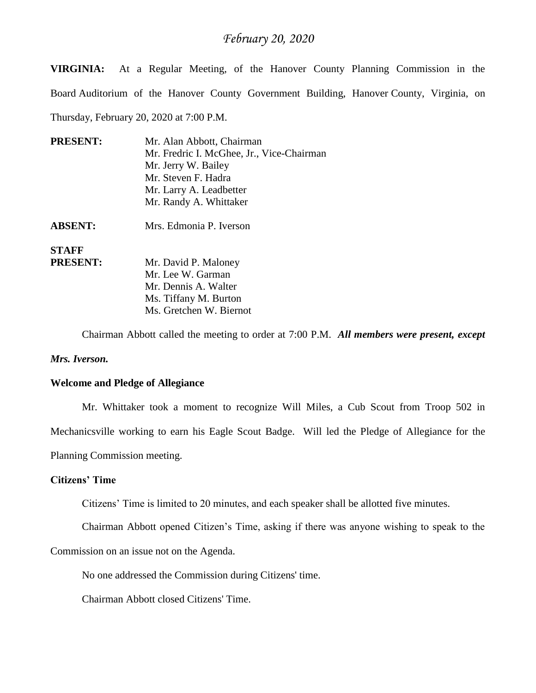**VIRGINIA:** At a Regular Meeting, of the Hanover County Planning Commission in the Board Auditorium of the Hanover County Government Building, Hanover County, Virginia, on Thursday, February 20, 2020 at 7:00 P.M.

| <b>PRESENT:</b> | Mr. Alan Abbott, Chairman<br>Mr. Fredric I. McGhee, Jr., Vice-Chairman |
|-----------------|------------------------------------------------------------------------|
|                 | Mr. Jerry W. Bailey                                                    |
|                 | Mr. Steven F. Hadra                                                    |
|                 | Mr. Larry A. Leadbetter                                                |
|                 | Mr. Randy A. Whittaker                                                 |
| <b>ABSENT:</b>  | Mrs. Edmonia P. Iverson                                                |
| <b>STAFF</b>    |                                                                        |
| <b>PRESENT:</b> | Mr. David P. Maloney                                                   |
|                 | Mr. Lee W. Garman                                                      |
|                 | Mr. Dennis A. Walter                                                   |
|                 | Ms. Tiffany M. Burton                                                  |
|                 | Ms. Gretchen W. Biernot                                                |

Chairman Abbott called the meeting to order at 7:00 P.M. *All members were present, except* 

#### *Mrs. Iverson.*

#### **Welcome and Pledge of Allegiance**

Mr. Whittaker took a moment to recognize Will Miles, a Cub Scout from Troop 502 in Mechanicsville working to earn his Eagle Scout Badge. Will led the Pledge of Allegiance for the Planning Commission meeting.

#### **Citizens' Time**

Citizens' Time is limited to 20 minutes, and each speaker shall be allotted five minutes.

Chairman Abbott opened Citizen's Time, asking if there was anyone wishing to speak to the

Commission on an issue not on the Agenda.

No one addressed the Commission during Citizens' time.

Chairman Abbott closed Citizens' Time.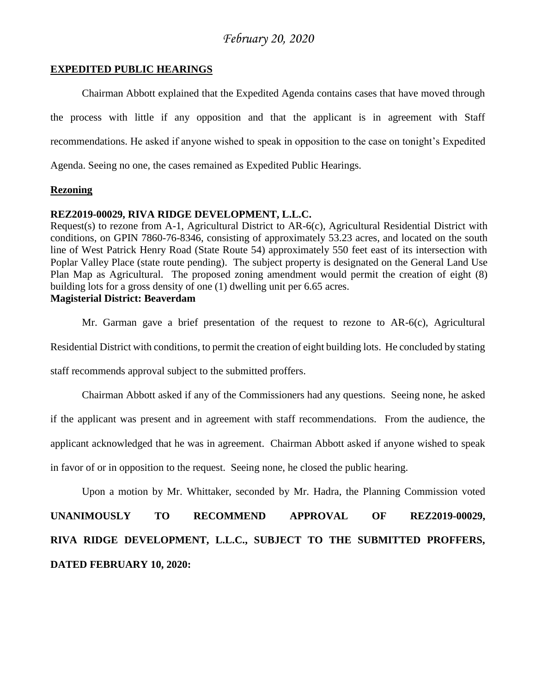#### **EXPEDITED PUBLIC HEARINGS**

Chairman Abbott explained that the Expedited Agenda contains cases that have moved through the process with little if any opposition and that the applicant is in agreement with Staff recommendations. He asked if anyone wished to speak in opposition to the case on tonight's Expedited Agenda. Seeing no one, the cases remained as Expedited Public Hearings.

#### **Rezoning**

#### **REZ2019-00029, RIVA RIDGE DEVELOPMENT, L.L.C.**

Request(s) to rezone from A-1, Agricultural District to AR-6(c), Agricultural Residential District with conditions, on GPIN 7860-76-8346, consisting of approximately 53.23 acres, and located on the south line of West Patrick Henry Road (State Route 54) approximately 550 feet east of its intersection with Poplar Valley Place (state route pending). The subject property is designated on the General Land Use Plan Map as Agricultural. The proposed zoning amendment would permit the creation of eight (8) building lots for a gross density of one (1) dwelling unit per 6.65 acres. **Magisterial District: Beaverdam**

# Mr. Garman gave a brief presentation of the request to rezone to AR-6(c), Agricultural Residential District with conditions, to permit the creation of eight building lots. He concluded by stating staff recommends approval subject to the submitted proffers.

Chairman Abbott asked if any of the Commissioners had any questions. Seeing none, he asked if the applicant was present and in agreement with staff recommendations. From the audience, the applicant acknowledged that he was in agreement. Chairman Abbott asked if anyone wished to speak in favor of or in opposition to the request. Seeing none, he closed the public hearing.

Upon a motion by Mr. Whittaker, seconded by Mr. Hadra, the Planning Commission voted

**UNANIMOUSLY TO RECOMMEND APPROVAL OF REZ2019-00029, RIVA RIDGE DEVELOPMENT, L.L.C., SUBJECT TO THE SUBMITTED PROFFERS, DATED FEBRUARY 10, 2020:**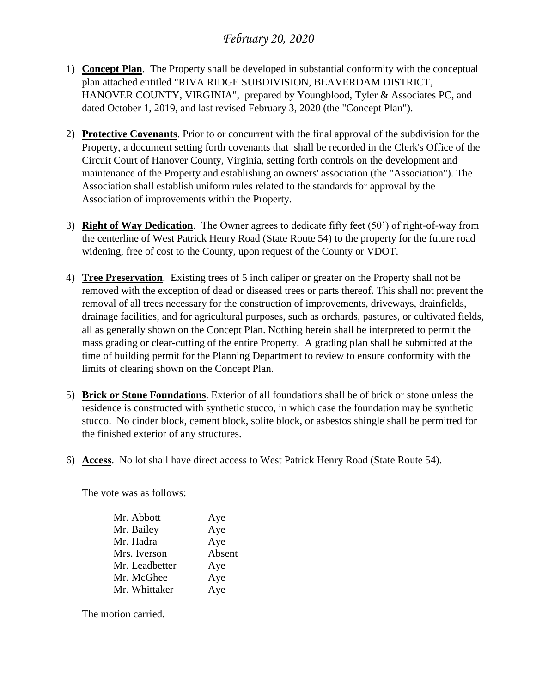- 1) **Concept Plan**. The Property shall be developed in substantial conformity with the conceptual plan attached entitled "RIVA RIDGE SUBDIVISION, BEAVERDAM DISTRICT, HANOVER COUNTY, VIRGINIA", prepared by Youngblood, Tyler & Associates PC, and dated October 1, 2019, and last revised February 3, 2020 (the "Concept Plan").
- 2) **Protective Covenants**. Prior to or concurrent with the final approval of the subdivision for the Property, a document setting forth covenants that shall be recorded in the Clerk's Office of the Circuit Court of Hanover County, Virginia, setting forth controls on the development and maintenance of the Property and establishing an owners' association (the "Association"). The Association shall establish uniform rules related to the standards for approval by the Association of improvements within the Property.
- 3) **Right of Way Dedication**. The Owner agrees to dedicate fifty feet (50') of right-of-way from the centerline of West Patrick Henry Road (State Route 54) to the property for the future road widening, free of cost to the County, upon request of the County or VDOT.
- 4) **Tree Preservation**. Existing trees of 5 inch caliper or greater on the Property shall not be removed with the exception of dead or diseased trees or parts thereof. This shall not prevent the removal of all trees necessary for the construction of improvements, driveways, drainfields, drainage facilities, and for agricultural purposes, such as orchards, pastures, or cultivated fields, all as generally shown on the Concept Plan. Nothing herein shall be interpreted to permit the mass grading or clear-cutting of the entire Property. A grading plan shall be submitted at the time of building permit for the Planning Department to review to ensure conformity with the limits of clearing shown on the Concept Plan.
- 5) **Brick or Stone Foundations**. Exterior of all foundations shall be of brick or stone unless the residence is constructed with synthetic stucco, in which case the foundation may be synthetic stucco. No cinder block, cement block, solite block, or asbestos shingle shall be permitted for the finished exterior of any structures.
- 6) **Access**. No lot shall have direct access to West Patrick Henry Road (State Route 54).

The vote was as follows:

| Mr. Abbott     | Aye    |
|----------------|--------|
| Mr. Bailey     | Aye    |
| Mr. Hadra      | Aye    |
| Mrs. Iverson   | Absent |
| Mr. Leadbetter | Aye    |
| Mr. McGhee     | Aye    |
| Mr. Whittaker  | Aye    |
|                |        |

The motion carried.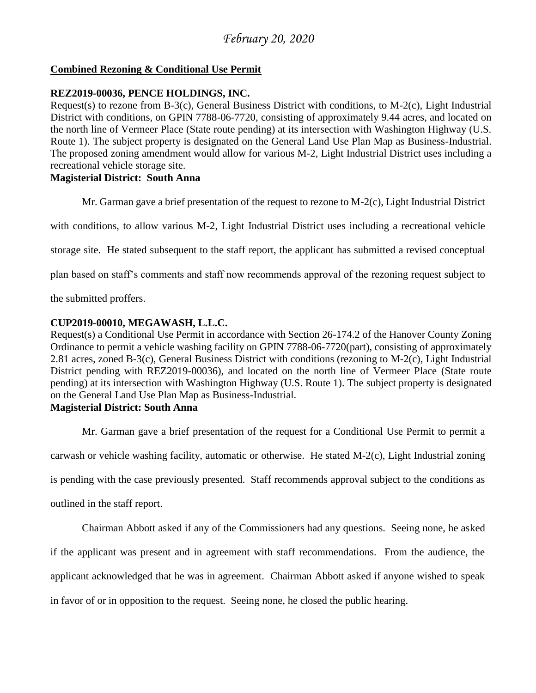## **Combined Rezoning & Conditional Use Permit**

#### **REZ2019-00036, PENCE HOLDINGS, INC.**

Request(s) to rezone from B-3(c), General Business District with conditions, to M-2(c), Light Industrial District with conditions, on GPIN 7788-06-7720, consisting of approximately 9.44 acres, and located on the north line of Vermeer Place (State route pending) at its intersection with Washington Highway (U.S. Route 1). The subject property is designated on the General Land Use Plan Map as Business-Industrial. The proposed zoning amendment would allow for various M-2, Light Industrial District uses including a recreational vehicle storage site.

#### **Magisterial District: South Anna**

Mr. Garman gave a brief presentation of the request to rezone to M-2(c), Light Industrial District

with conditions, to allow various M-2, Light Industrial District uses including a recreational vehicle

storage site. He stated subsequent to the staff report, the applicant has submitted a revised conceptual

plan based on staff's comments and staff now recommends approval of the rezoning request subject to

the submitted proffers.

## **CUP2019-00010, MEGAWASH, L.L.C.**

Request(s) a Conditional Use Permit in accordance with Section 26-174.2 of the Hanover County Zoning Ordinance to permit a vehicle washing facility on GPIN 7788-06-7720(part), consisting of approximately 2.81 acres, zoned B-3(c), General Business District with conditions (rezoning to M-2(c), Light Industrial District pending with REZ2019-00036), and located on the north line of Vermeer Place (State route pending) at its intersection with Washington Highway (U.S. Route 1). The subject property is designated on the General Land Use Plan Map as Business-Industrial.

#### **Magisterial District: South Anna**

Mr. Garman gave a brief presentation of the request for a Conditional Use Permit to permit a carwash or vehicle washing facility, automatic or otherwise. He stated M-2(c), Light Industrial zoning is pending with the case previously presented. Staff recommends approval subject to the conditions as outlined in the staff report.

Chairman Abbott asked if any of the Commissioners had any questions. Seeing none, he asked if the applicant was present and in agreement with staff recommendations. From the audience, the applicant acknowledged that he was in agreement. Chairman Abbott asked if anyone wished to speak in favor of or in opposition to the request. Seeing none, he closed the public hearing.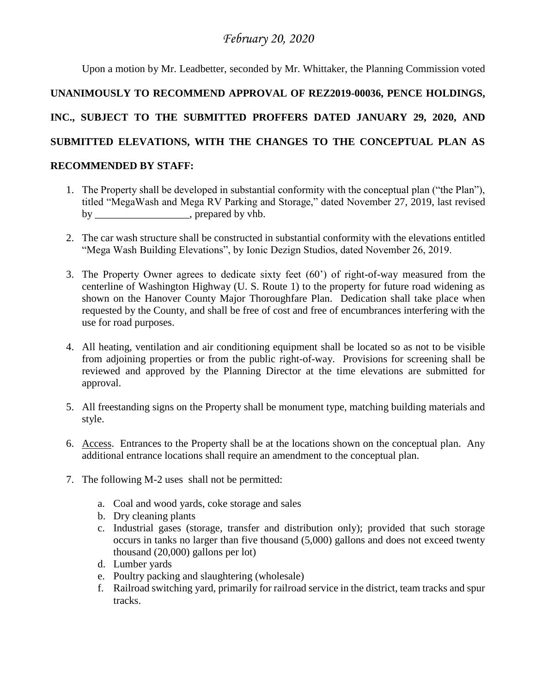Upon a motion by Mr. Leadbetter, seconded by Mr. Whittaker, the Planning Commission voted **UNANIMOUSLY TO RECOMMEND APPROVAL OF REZ2019-00036, PENCE HOLDINGS, INC., SUBJECT TO THE SUBMITTED PROFFERS DATED JANUARY 29, 2020, AND SUBMITTED ELEVATIONS, WITH THE CHANGES TO THE CONCEPTUAL PLAN AS RECOMMENDED BY STAFF:**

- 1. The Property shall be developed in substantial conformity with the conceptual plan ("the Plan"), titled "MegaWash and Mega RV Parking and Storage," dated November 27, 2019, last revised by by prepared by vhb.
- 2. The car wash structure shall be constructed in substantial conformity with the elevations entitled "Mega Wash Building Elevations", by Ionic Dezign Studios, dated November 26, 2019.
- 3. The Property Owner agrees to dedicate sixty feet (60') of right-of-way measured from the centerline of Washington Highway (U. S. Route 1) to the property for future road widening as shown on the Hanover County Major Thoroughfare Plan. Dedication shall take place when requested by the County, and shall be free of cost and free of encumbrances interfering with the use for road purposes.
- 4. All heating, ventilation and air conditioning equipment shall be located so as not to be visible from adjoining properties or from the public right-of-way. Provisions for screening shall be reviewed and approved by the Planning Director at the time elevations are submitted for approval.
- 5. All freestanding signs on the Property shall be monument type, matching building materials and style.
- 6. Access. Entrances to the Property shall be at the locations shown on the conceptual plan. Any additional entrance locations shall require an amendment to the conceptual plan.
- 7. The following M-2 uses shall not be permitted:
	- a. Coal and wood yards, coke storage and sales
	- b. Dry cleaning plants
	- c. Industrial gases (storage, transfer and distribution only); provided that such storage occurs in tanks no larger than five thousand (5,000) gallons and does not exceed twenty thousand (20,000) gallons per lot)
	- d. Lumber yards
	- e. Poultry packing and slaughtering (wholesale)
	- f. Railroad switching yard, primarily for railroad service in the district, team tracks and spur tracks.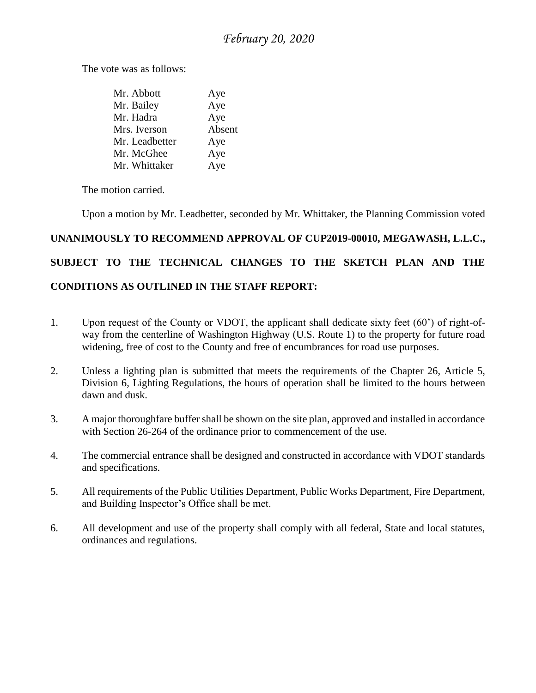The vote was as follows:

| Mr. Abbott     | Aye    |
|----------------|--------|
| Mr. Bailey     | Aye    |
| Mr. Hadra      | Aye    |
| Mrs. Iverson   | Absent |
| Mr. Leadbetter | Aye    |
| Mr. McGhee     | Aye    |
| Mr. Whittaker  | Aye    |

The motion carried.

Upon a motion by Mr. Leadbetter, seconded by Mr. Whittaker, the Planning Commission voted

# **UNANIMOUSLY TO RECOMMEND APPROVAL OF CUP2019-00010, MEGAWASH, L.L.C., SUBJECT TO THE TECHNICAL CHANGES TO THE SKETCH PLAN AND THE CONDITIONS AS OUTLINED IN THE STAFF REPORT:**

- 1. Upon request of the County or VDOT, the applicant shall dedicate sixty feet (60') of right-ofway from the centerline of Washington Highway (U.S. Route 1) to the property for future road widening, free of cost to the County and free of encumbrances for road use purposes.
- 2. Unless a lighting plan is submitted that meets the requirements of the Chapter 26, Article 5, Division 6, Lighting Regulations, the hours of operation shall be limited to the hours between dawn and dusk.
- 3. A major thoroughfare buffer shall be shown on the site plan, approved and installed in accordance with Section 26-264 of the ordinance prior to commencement of the use.
- 4. The commercial entrance shall be designed and constructed in accordance with VDOT standards and specifications.
- 5. All requirements of the Public Utilities Department, Public Works Department, Fire Department, and Building Inspector's Office shall be met.
- 6. All development and use of the property shall comply with all federal, State and local statutes, ordinances and regulations.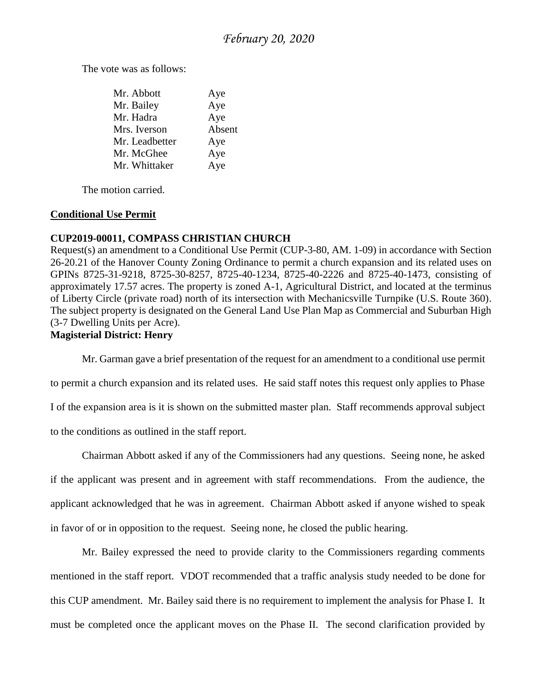The vote was as follows:

| Mr. Abbott     | Aye    |
|----------------|--------|
| Mr. Bailey     | Aye    |
| Mr. Hadra      | Aye    |
| Mrs. Iverson   | Absent |
| Mr. Leadbetter | Aye    |
| Mr. McGhee     | Aye    |
| Mr. Whittaker  | Aye    |

The motion carried.

#### **Conditional Use Permit**

### **CUP2019-00011, COMPASS CHRISTIAN CHURCH**

Request(s) an amendment to a Conditional Use Permit (CUP-3-80, AM. 1-09) in accordance with Section 26-20.21 of the Hanover County Zoning Ordinance to permit a church expansion and its related uses on GPINs 8725-31-9218, 8725-30-8257, 8725-40-1234, 8725-40-2226 and 8725-40-1473, consisting of approximately 17.57 acres. The property is zoned A-1, Agricultural District, and located at the terminus of Liberty Circle (private road) north of its intersection with Mechanicsville Turnpike (U.S. Route 360). The subject property is designated on the General Land Use Plan Map as Commercial and Suburban High (3-7 Dwelling Units per Acre).

### **Magisterial District: Henry**

Mr. Garman gave a brief presentation of the request for an amendment to a conditional use permit

to permit a church expansion and its related uses. He said staff notes this request only applies to Phase I of the expansion area is it is shown on the submitted master plan. Staff recommends approval subject

to the conditions as outlined in the staff report.

Chairman Abbott asked if any of the Commissioners had any questions. Seeing none, he asked if the applicant was present and in agreement with staff recommendations. From the audience, the applicant acknowledged that he was in agreement. Chairman Abbott asked if anyone wished to speak in favor of or in opposition to the request. Seeing none, he closed the public hearing.

Mr. Bailey expressed the need to provide clarity to the Commissioners regarding comments mentioned in the staff report. VDOT recommended that a traffic analysis study needed to be done for this CUP amendment. Mr. Bailey said there is no requirement to implement the analysis for Phase I. It must be completed once the applicant moves on the Phase II. The second clarification provided by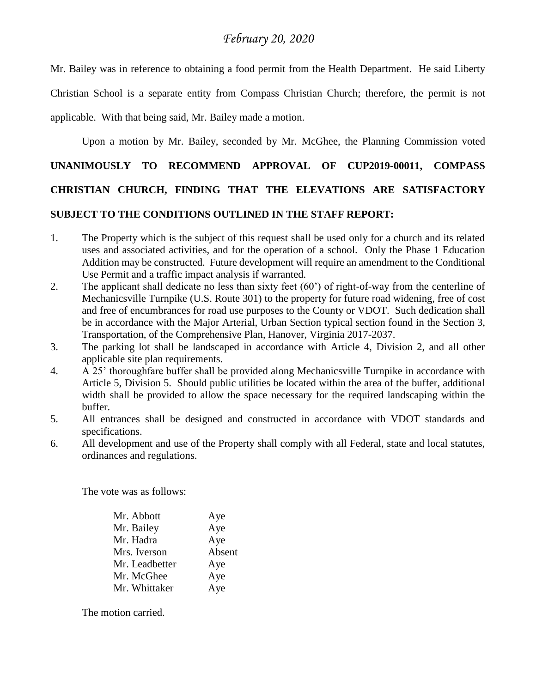Mr. Bailey was in reference to obtaining a food permit from the Health Department. He said Liberty Christian School is a separate entity from Compass Christian Church; therefore, the permit is not applicable. With that being said, Mr. Bailey made a motion.

Upon a motion by Mr. Bailey, seconded by Mr. McGhee, the Planning Commission voted

# **UNANIMOUSLY TO RECOMMEND APPROVAL OF CUP2019-00011, COMPASS CHRISTIAN CHURCH, FINDING THAT THE ELEVATIONS ARE SATISFACTORY SUBJECT TO THE CONDITIONS OUTLINED IN THE STAFF REPORT:**

- 1. The Property which is the subject of this request shall be used only for a church and its related uses and associated activities, and for the operation of a school. Only the Phase 1 Education Addition may be constructed. Future development will require an amendment to the Conditional Use Permit and a traffic impact analysis if warranted.
- 2. The applicant shall dedicate no less than sixty feet (60') of right-of-way from the centerline of Mechanicsville Turnpike (U.S. Route 301) to the property for future road widening, free of cost and free of encumbrances for road use purposes to the County or VDOT. Such dedication shall be in accordance with the Major Arterial, Urban Section typical section found in the Section 3, Transportation, of the Comprehensive Plan, Hanover, Virginia 2017-2037.
- 3. The parking lot shall be landscaped in accordance with Article 4, Division 2, and all other applicable site plan requirements.
- 4. A 25' thoroughfare buffer shall be provided along Mechanicsville Turnpike in accordance with Article 5, Division 5. Should public utilities be located within the area of the buffer, additional width shall be provided to allow the space necessary for the required landscaping within the buffer.
- 5. All entrances shall be designed and constructed in accordance with VDOT standards and specifications.
- 6. All development and use of the Property shall comply with all Federal, state and local statutes, ordinances and regulations.

The vote was as follows:

| Mr. Abbott     | Aye    |
|----------------|--------|
| Mr. Bailey     | Aye    |
| Mr. Hadra      | Aye    |
| Mrs. Iverson   | Absent |
| Mr. Leadbetter | Aye    |
| Mr. McGhee     | Aye    |
| Mr. Whittaker  | Aye    |
|                |        |

The motion carried.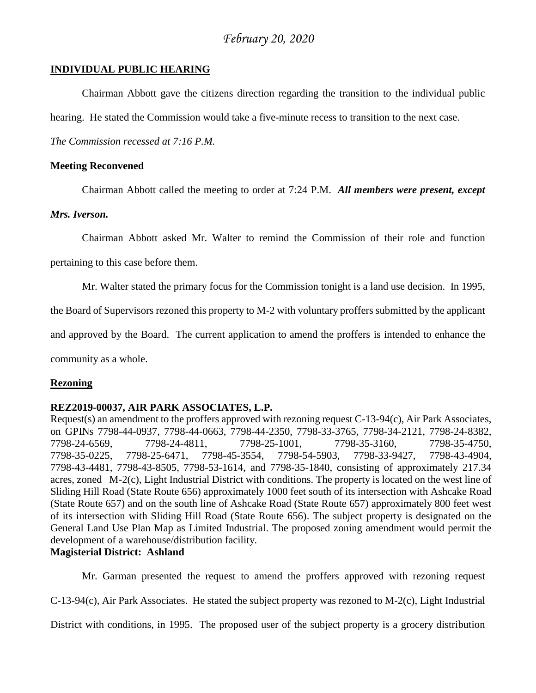#### **INDIVIDUAL PUBLIC HEARING**

Chairman Abbott gave the citizens direction regarding the transition to the individual public

hearing. He stated the Commission would take a five-minute recess to transition to the next case.

*The Commission recessed at 7:16 P.M.* 

#### **Meeting Reconvened**

Chairman Abbott called the meeting to order at 7:24 P.M. *All members were present, except* 

#### *Mrs. Iverson.*

Chairman Abbott asked Mr. Walter to remind the Commission of their role and function

pertaining to this case before them.

Mr. Walter stated the primary focus for the Commission tonight is a land use decision. In 1995,

the Board of Supervisors rezoned this property to M-2 with voluntary proffers submitted by the applicant

and approved by the Board. The current application to amend the proffers is intended to enhance the

community as a whole.

#### **Rezoning**

#### **REZ2019-00037, AIR PARK ASSOCIATES, L.P.**

Request(s) an amendment to the proffers approved with rezoning request C-13-94(c), Air Park Associates, on GPINs 7798-44-0937, 7798-44-0663, 7798-44-2350, 7798-33-3765, 7798-34-2121, 7798-24-8382, 7798-24-6569, 7798-24-4811, 7798-25-1001, 7798-35-3160, 7798-35-4750, 7798-35-0225, 7798-25-6471, 7798-45-3554, 7798-54-5903, 7798-33-9427, 7798-43-4904, 7798-43-4481, 7798-43-8505, 7798-53-1614, and 7798-35-1840, consisting of approximately 217.34 acres, zoned M-2(c), Light Industrial District with conditions. The property is located on the west line of Sliding Hill Road (State Route 656) approximately 1000 feet south of its intersection with Ashcake Road (State Route 657) and on the south line of Ashcake Road (State Route 657) approximately 800 feet west of its intersection with Sliding Hill Road (State Route 656). The subject property is designated on the General Land Use Plan Map as Limited Industrial. The proposed zoning amendment would permit the development of a warehouse/distribution facility.

#### **Magisterial District: Ashland**

Mr. Garman presented the request to amend the proffers approved with rezoning request

C-13-94(c), Air Park Associates. He stated the subject property was rezoned to M-2(c), Light Industrial

District with conditions, in 1995. The proposed user of the subject property is a grocery distribution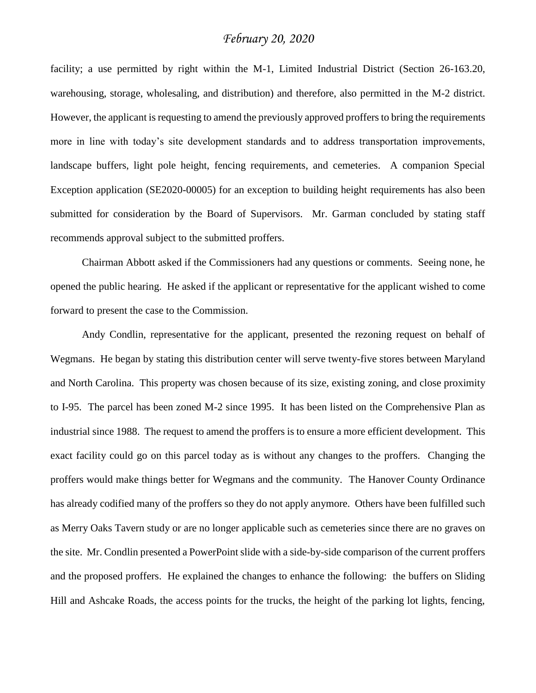facility; a use permitted by right within the M-1, Limited Industrial District (Section 26-163.20, warehousing, storage, wholesaling, and distribution) and therefore, also permitted in the M-2 district. However, the applicant is requesting to amend the previously approved proffers to bring the requirements more in line with today's site development standards and to address transportation improvements, landscape buffers, light pole height, fencing requirements, and cemeteries. A companion Special Exception application (SE2020-00005) for an exception to building height requirements has also been submitted for consideration by the Board of Supervisors. Mr. Garman concluded by stating staff recommends approval subject to the submitted proffers.

Chairman Abbott asked if the Commissioners had any questions or comments. Seeing none, he opened the public hearing. He asked if the applicant or representative for the applicant wished to come forward to present the case to the Commission.

Andy Condlin, representative for the applicant, presented the rezoning request on behalf of Wegmans. He began by stating this distribution center will serve twenty-five stores between Maryland and North Carolina. This property was chosen because of its size, existing zoning, and close proximity to I-95. The parcel has been zoned M-2 since 1995. It has been listed on the Comprehensive Plan as industrial since 1988. The request to amend the proffers is to ensure a more efficient development. This exact facility could go on this parcel today as is without any changes to the proffers. Changing the proffers would make things better for Wegmans and the community. The Hanover County Ordinance has already codified many of the proffers so they do not apply anymore. Others have been fulfilled such as Merry Oaks Tavern study or are no longer applicable such as cemeteries since there are no graves on the site. Mr. Condlin presented a PowerPoint slide with a side-by-side comparison of the current proffers and the proposed proffers. He explained the changes to enhance the following: the buffers on Sliding Hill and Ashcake Roads, the access points for the trucks, the height of the parking lot lights, fencing,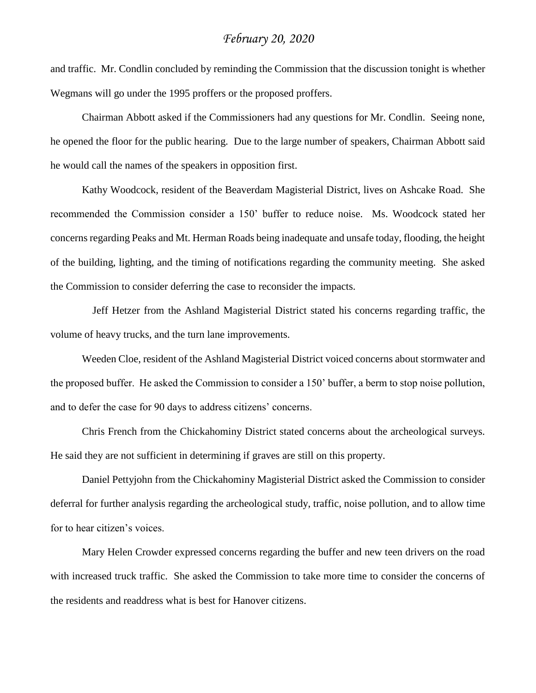and traffic. Mr. Condlin concluded by reminding the Commission that the discussion tonight is whether Wegmans will go under the 1995 proffers or the proposed proffers.

Chairman Abbott asked if the Commissioners had any questions for Mr. Condlin. Seeing none, he opened the floor for the public hearing. Due to the large number of speakers, Chairman Abbott said he would call the names of the speakers in opposition first.

Kathy Woodcock, resident of the Beaverdam Magisterial District, lives on Ashcake Road. She recommended the Commission consider a 150' buffer to reduce noise. Ms. Woodcock stated her concerns regarding Peaks and Mt. Herman Roads being inadequate and unsafe today, flooding, the height of the building, lighting, and the timing of notifications regarding the community meeting. She asked the Commission to consider deferring the case to reconsider the impacts.

 Jeff Hetzer from the Ashland Magisterial District stated his concerns regarding traffic, the volume of heavy trucks, and the turn lane improvements.

Weeden Cloe, resident of the Ashland Magisterial District voiced concerns about stormwater and the proposed buffer. He asked the Commission to consider a 150' buffer, a berm to stop noise pollution, and to defer the case for 90 days to address citizens' concerns.

Chris French from the Chickahominy District stated concerns about the archeological surveys. He said they are not sufficient in determining if graves are still on this property.

Daniel Pettyjohn from the Chickahominy Magisterial District asked the Commission to consider deferral for further analysis regarding the archeological study, traffic, noise pollution, and to allow time for to hear citizen's voices.

Mary Helen Crowder expressed concerns regarding the buffer and new teen drivers on the road with increased truck traffic. She asked the Commission to take more time to consider the concerns of the residents and readdress what is best for Hanover citizens.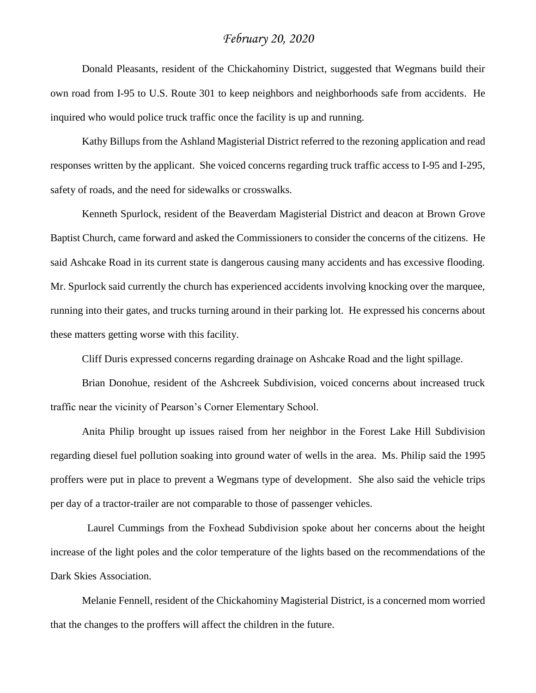Donald Pleasants, resident of the Chickahominy District, suggested that Wegmans build their own road from I-95 to U.S. Route 301 to keep neighbors and neighborhoods safe from accidents. He inquired who would police truck traffic once the facility is up and running.

Kathy Billups from the Ashland Magisterial District referred to the rezoning application and read responses written by the applicant. She voiced concerns regarding truck traffic access to I-95 and I-295, safety of roads, and the need for sidewalks or crosswalks.

Kenneth Spurlock, resident of the Beaverdam Magisterial District and deacon at Brown Grove Baptist Church, came forward and asked the Commissioners to consider the concerns of the citizens. He said Ashcake Road in its current state is dangerous causing many accidents and has excessive flooding. Mr. Spurlock said currently the church has experienced accidents involving knocking over the marquee, running into their gates, and trucks turning around in their parking lot. He expressed his concerns about these matters getting worse with this facility.

Cliff Duris expressed concerns regarding drainage on Ashcake Road and the light spillage.

Brian Donohue, resident of the Ashcreek Subdivision, voiced concerns about increased truck traffic near the vicinity of Pearson's Corner Elementary School.

Anita Philip brought up issues raised from her neighbor in the Forest Lake Hill Subdivision regarding diesel fuel pollution soaking into ground water of wells in the area. Ms. Philip said the 1995 proffers were put in place to prevent a Wegmans type of development. She also said the vehicle trips per day of a tractor-trailer are not comparable to those of passenger vehicles.

 Laurel Cummings from the Foxhead Subdivision spoke about her concerns about the height increase of the light poles and the color temperature of the lights based on the recommendations of the Dark Skies Association.

Melanie Fennell, resident of the Chickahominy Magisterial District, is a concerned mom worried that the changes to the proffers will affect the children in the future.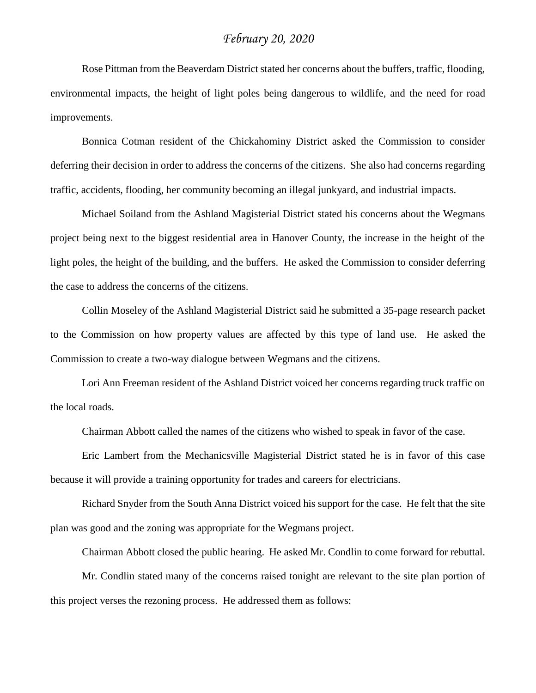Rose Pittman from the Beaverdam District stated her concerns about the buffers, traffic, flooding, environmental impacts, the height of light poles being dangerous to wildlife, and the need for road improvements.

Bonnica Cotman resident of the Chickahominy District asked the Commission to consider deferring their decision in order to address the concerns of the citizens. She also had concerns regarding traffic, accidents, flooding, her community becoming an illegal junkyard, and industrial impacts.

Michael Soiland from the Ashland Magisterial District stated his concerns about the Wegmans project being next to the biggest residential area in Hanover County, the increase in the height of the light poles, the height of the building, and the buffers. He asked the Commission to consider deferring the case to address the concerns of the citizens.

Collin Moseley of the Ashland Magisterial District said he submitted a 35-page research packet to the Commission on how property values are affected by this type of land use. He asked the Commission to create a two-way dialogue between Wegmans and the citizens.

Lori Ann Freeman resident of the Ashland District voiced her concerns regarding truck traffic on the local roads.

Chairman Abbott called the names of the citizens who wished to speak in favor of the case.

Eric Lambert from the Mechanicsville Magisterial District stated he is in favor of this case because it will provide a training opportunity for trades and careers for electricians.

Richard Snyder from the South Anna District voiced his support for the case. He felt that the site plan was good and the zoning was appropriate for the Wegmans project.

Chairman Abbott closed the public hearing. He asked Mr. Condlin to come forward for rebuttal.

Mr. Condlin stated many of the concerns raised tonight are relevant to the site plan portion of this project verses the rezoning process. He addressed them as follows: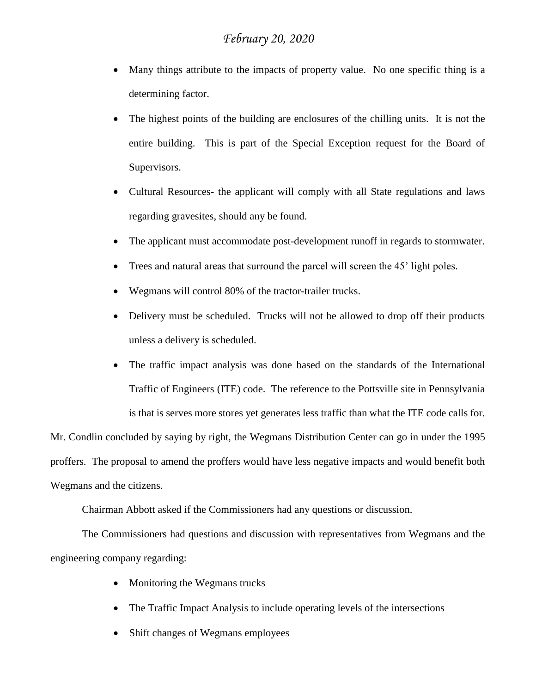- Many things attribute to the impacts of property value. No one specific thing is a determining factor.
- The highest points of the building are enclosures of the chilling units. It is not the entire building. This is part of the Special Exception request for the Board of Supervisors.
- Cultural Resources- the applicant will comply with all State regulations and laws regarding gravesites, should any be found.
- The applicant must accommodate post-development runoff in regards to stormwater.
- Trees and natural areas that surround the parcel will screen the 45' light poles.
- Wegmans will control 80% of the tractor-trailer trucks.
- Delivery must be scheduled. Trucks will not be allowed to drop off their products unless a delivery is scheduled.
- The traffic impact analysis was done based on the standards of the International Traffic of Engineers (ITE) code. The reference to the Pottsville site in Pennsylvania is that is serves more stores yet generates less traffic than what the ITE code calls for.

Mr. Condlin concluded by saying by right, the Wegmans Distribution Center can go in under the 1995 proffers. The proposal to amend the proffers would have less negative impacts and would benefit both Wegmans and the citizens.

Chairman Abbott asked if the Commissioners had any questions or discussion.

The Commissioners had questions and discussion with representatives from Wegmans and the engineering company regarding:

- Monitoring the Wegmans trucks
- The Traffic Impact Analysis to include operating levels of the intersections
- Shift changes of Wegmans employees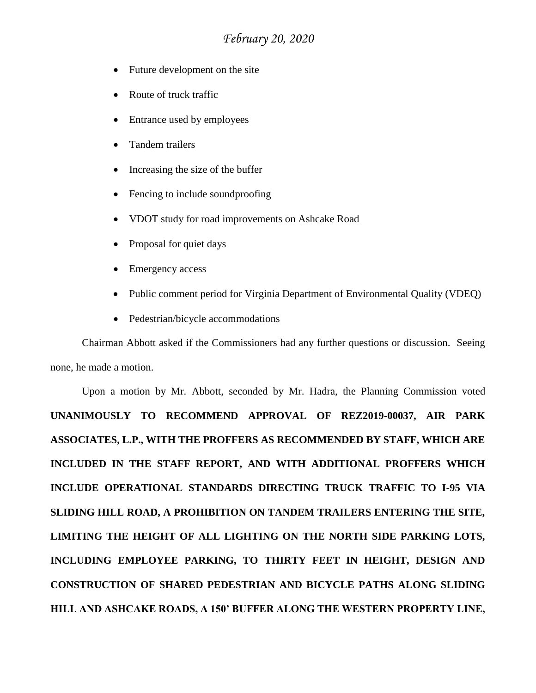- Future development on the site
- Route of truck traffic
- Entrance used by employees
- Tandem trailers
- Increasing the size of the buffer
- Fencing to include soundproofing
- VDOT study for road improvements on Ashcake Road
- Proposal for quiet days
- Emergency access
- Public comment period for Virginia Department of Environmental Quality (VDEQ)
- Pedestrian/bicycle accommodations

Chairman Abbott asked if the Commissioners had any further questions or discussion. Seeing none, he made a motion.

Upon a motion by Mr. Abbott, seconded by Mr. Hadra, the Planning Commission voted **UNANIMOUSLY TO RECOMMEND APPROVAL OF REZ2019-00037, AIR PARK ASSOCIATES, L.P., WITH THE PROFFERS AS RECOMMENDED BY STAFF, WHICH ARE INCLUDED IN THE STAFF REPORT, AND WITH ADDITIONAL PROFFERS WHICH INCLUDE OPERATIONAL STANDARDS DIRECTING TRUCK TRAFFIC TO I-95 VIA SLIDING HILL ROAD, A PROHIBITION ON TANDEM TRAILERS ENTERING THE SITE, LIMITING THE HEIGHT OF ALL LIGHTING ON THE NORTH SIDE PARKING LOTS, INCLUDING EMPLOYEE PARKING, TO THIRTY FEET IN HEIGHT, DESIGN AND CONSTRUCTION OF SHARED PEDESTRIAN AND BICYCLE PATHS ALONG SLIDING HILL AND ASHCAKE ROADS, A 150' BUFFER ALONG THE WESTERN PROPERTY LINE,**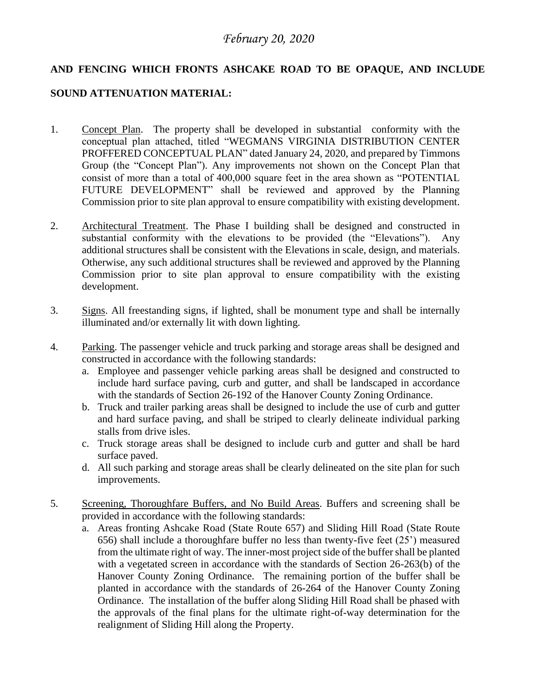### **AND FENCING WHICH FRONTS ASHCAKE ROAD TO BE OPAQUE, AND INCLUDE**

#### **SOUND ATTENUATION MATERIAL:**

- 1. Concept Plan. The property shall be developed in substantial conformity with the conceptual plan attached, titled "WEGMANS VIRGINIA DISTRIBUTION CENTER PROFFERED CONCEPTUAL PLAN" dated January 24, 2020, and prepared by Timmons Group (the "Concept Plan"). Any improvements not shown on the Concept Plan that consist of more than a total of 400,000 square feet in the area shown as "POTENTIAL FUTURE DEVELOPMENT" shall be reviewed and approved by the Planning Commission prior to site plan approval to ensure compatibility with existing development.
- 2. Architectural Treatment. The Phase I building shall be designed and constructed in substantial conformity with the elevations to be provided (the "Elevations"). Any additional structures shall be consistent with the Elevations in scale, design, and materials. Otherwise, any such additional structures shall be reviewed and approved by the Planning Commission prior to site plan approval to ensure compatibility with the existing development.
- 3. Signs. All freestanding signs, if lighted, shall be monument type and shall be internally illuminated and/or externally lit with down lighting.
- 4. Parking. The passenger vehicle and truck parking and storage areas shall be designed and constructed in accordance with the following standards:
	- a. Employee and passenger vehicle parking areas shall be designed and constructed to include hard surface paving, curb and gutter, and shall be landscaped in accordance with the standards of Section 26-192 of the Hanover County Zoning Ordinance.
	- b. Truck and trailer parking areas shall be designed to include the use of curb and gutter and hard surface paving, and shall be striped to clearly delineate individual parking stalls from drive isles.
	- c. Truck storage areas shall be designed to include curb and gutter and shall be hard surface paved.
	- d. All such parking and storage areas shall be clearly delineated on the site plan for such improvements.
- 5. Screening, Thoroughfare Buffers, and No Build Areas. Buffers and screening shall be provided in accordance with the following standards:
	- a. Areas fronting Ashcake Road (State Route 657) and Sliding Hill Road (State Route 656) shall include a thoroughfare buffer no less than twenty-five feet (25') measured from the ultimate right of way. The inner-most project side of the buffer shall be planted with a vegetated screen in accordance with the standards of Section 26-263(b) of the Hanover County Zoning Ordinance. The remaining portion of the buffer shall be planted in accordance with the standards of 26-264 of the Hanover County Zoning Ordinance. The installation of the buffer along Sliding Hill Road shall be phased with the approvals of the final plans for the ultimate right-of-way determination for the realignment of Sliding Hill along the Property.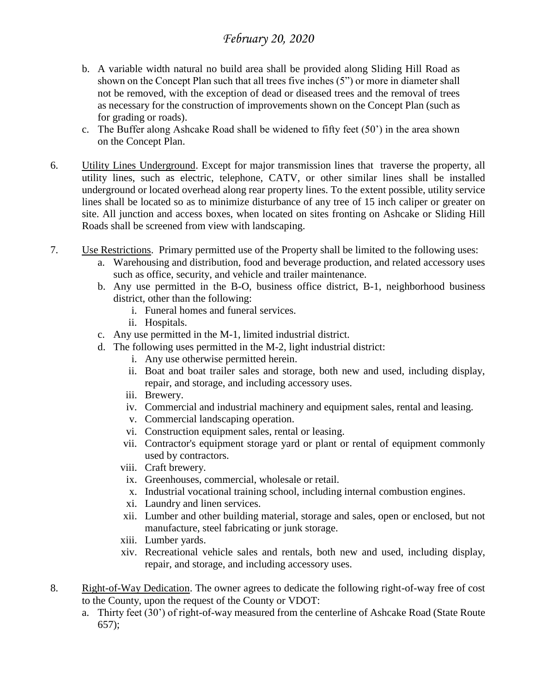- b. A variable width natural no build area shall be provided along Sliding Hill Road as shown on the Concept Plan such that all trees five inches (5") or more in diameter shall not be removed, with the exception of dead or diseased trees and the removal of trees as necessary for the construction of improvements shown on the Concept Plan (such as for grading or roads).
- c. The Buffer along Ashcake Road shall be widened to fifty feet (50') in the area shown on the Concept Plan.
- 6. Utility Lines Underground. Except for major transmission lines that traverse the property, all utility lines, such as electric, telephone, CATV, or other similar lines shall be installed underground or located overhead along rear property lines. To the extent possible, utility service lines shall be located so as to minimize disturbance of any tree of 15 inch caliper or greater on site. All junction and access boxes, when located on sites fronting on Ashcake or Sliding Hill Roads shall be screened from view with landscaping.
- 7. Use Restrictions. Primary permitted use of the Property shall be limited to the following uses:
	- a. Warehousing and distribution, food and beverage production, and related accessory uses such as office, security, and vehicle and trailer maintenance.
	- b. Any use permitted in the B-O, business office district, B-1, neighborhood business district, other than the following:
		- i. Funeral homes and funeral services.
		- ii. Hospitals.
	- c. Any use permitted in the M-1, limited industrial district.
	- d. The following uses permitted in the M-2, light industrial district:
		- i. Any use otherwise permitted herein.
		- ii. Boat and boat trailer sales and storage, both new and used, including display, repair, and storage, and including accessory uses.
		- iii. Brewery.
		- iv. Commercial and industrial machinery and equipment sales, rental and leasing.
		- v. Commercial landscaping operation.
		- vi. Construction equipment sales, rental or leasing.
		- vii. Contractor's equipment storage yard or plant or rental of equipment commonly used by contractors.
		- viii. Craft brewery.
			- ix. Greenhouses, commercial, wholesale or retail.
			- x. Industrial vocational training school, including internal combustion engines.
		- xi. Laundry and linen services.
		- xii. Lumber and other building material, storage and sales, open or enclosed, but not manufacture, steel fabricating or junk storage.
		- xiii. Lumber yards.
		- xiv. Recreational vehicle sales and rentals, both new and used, including display, repair, and storage, and including accessory uses.
- 8. Right-of-Way Dedication. The owner agrees to dedicate the following right-of-way free of cost to the County, upon the request of the County or VDOT:
	- a. Thirty feet (30') of right-of-way measured from the centerline of Ashcake Road (State Route 657);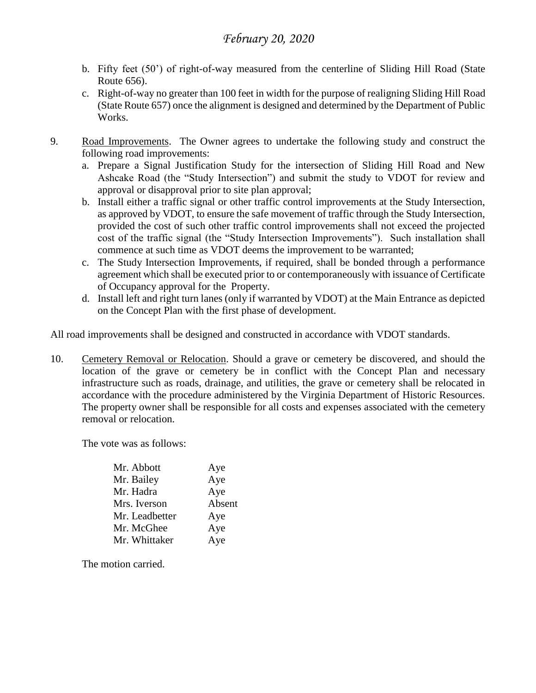- b. Fifty feet (50') of right-of-way measured from the centerline of Sliding Hill Road (State Route 656).
- c. Right-of-way no greater than 100 feet in width for the purpose of realigning Sliding Hill Road (State Route 657) once the alignment is designed and determined by the Department of Public Works.
- 9. Road Improvements. The Owner agrees to undertake the following study and construct the following road improvements:
	- a. Prepare a Signal Justification Study for the intersection of Sliding Hill Road and New Ashcake Road (the "Study Intersection") and submit the study to VDOT for review and approval or disapproval prior to site plan approval;
	- b. Install either a traffic signal or other traffic control improvements at the Study Intersection, as approved by VDOT, to ensure the safe movement of traffic through the Study Intersection, provided the cost of such other traffic control improvements shall not exceed the projected cost of the traffic signal (the "Study Intersection Improvements"). Such installation shall commence at such time as VDOT deems the improvement to be warranted;
	- c. The Study Intersection Improvements, if required, shall be bonded through a performance agreement which shall be executed prior to or contemporaneously with issuance of Certificate of Occupancy approval for the Property.
	- d. Install left and right turn lanes (only if warranted by VDOT) at the Main Entrance as depicted on the Concept Plan with the first phase of development.

All road improvements shall be designed and constructed in accordance with VDOT standards.

10. Cemetery Removal or Relocation. Should a grave or cemetery be discovered, and should the location of the grave or cemetery be in conflict with the Concept Plan and necessary infrastructure such as roads, drainage, and utilities, the grave or cemetery shall be relocated in accordance with the procedure administered by the Virginia Department of Historic Resources. The property owner shall be responsible for all costs and expenses associated with the cemetery removal or relocation.

The vote was as follows:

| Mr. Abbott     | Aye    |
|----------------|--------|
| Mr. Bailey     | Aye    |
| Mr. Hadra      | Aye    |
| Mrs. Iverson   | Absent |
| Mr. Leadbetter | Aye    |
| Mr. McGhee     | Aye    |
| Mr. Whittaker  | Aye    |
|                |        |

The motion carried.